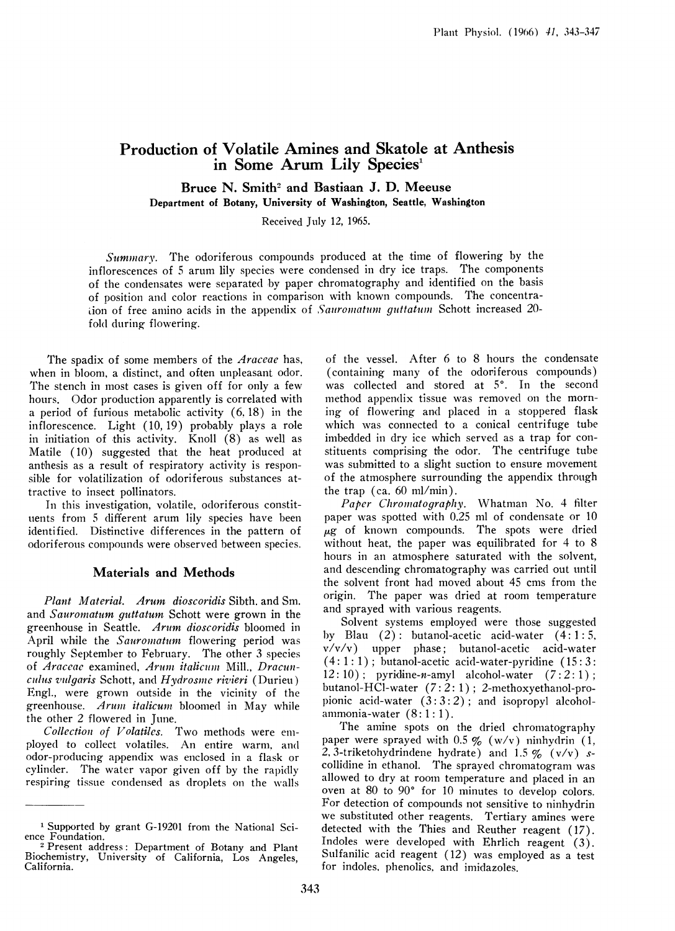# Production of Volatile Amines and Skatole at Anthesis in Some Arum Lily Species'

Bruce N. Smith<sup>2</sup> and Bastiaan J. D. Meeuse Department of Botany, University of Washington, Seattle, Washington

Received July 12, 1965.

Summnary. The odoriferous compounds produced at the time of flowering by the inflorescences of <sup>5</sup> arum lily species were condensed in dry ice traps. The components of the condensates were separated by paper chromatography and identified on the basis of position and color reactions in comparison with known compounds. The concentraiion of free amino acids in the appendix of Sauromatum guttatum Schott increased  $20$ fold during flowering.

The spadix of some members of the *Araceae* has, when in bloom, a distinct, and often unpleasant odor. The stench in most cases is given off for only a few hours. Odor production apparently is correlated with a period of furious metabolic activity (6.18) in the inflorescence. Light (10, 19) probably plays a role in initiation of this activity. Knoll (8) as well as Matile (10) suggested that the heat produced at anthesis as a result of respiratory activity is responsible for volatilization of odoriferous substances attractive to insect polilinators.

In this investigation, volatile, odoriferous constituents from 5 different arum lily species have been identified. Distinctive differences in the pattern of odoriferous compounds were observed between species.

## Materials and Methods

Plant Material. Arum dioscoridis Sibth. and Sm. and Sauromatum guttatum Schott were grown in the greenhouse in Seattle. Arum dioscoridis bloomed in April while the Sauromatum flowering period was roughly September to February. The other 3 species of Araceae examined, Arum italicum Mill., Dracun- $\emph{culus vulgaris Schott, and Hydrosme rivieri (Durieu)}$ Engl., were grown outside in the vicinity of the greenhouse. Arum italicum bloomed in May while the other 2 flowered in June.

Collection of Volatiles. Two methods were employed to collect volatiles. An entire warm, and odor-producing appendix was enclosed in a flask or cylinder. The water vapor given off by the rapidly respiring tissue condensed as droplets on the walls

of the vessel. After 6 to 8 hours the condensate (containing many of the odoriferous compounds) was collected and stored at 5°. In the second method appendlix tissue was removed on the morning of flowering and placed in a stoppered flask which was connected to a conical centrifuge tube imbedded in dry ice which served as a trap for constituents comprising the odor. The centrifuge tube was submitted to a slight suction to ensure movement of the atmosphere surrounding the appendix through the trap (ca. 60 ml/min).

Paper Chromatography. Whatman No. 4 filter paper was spotted with 0.25 ml of condensate or 10  $\mu$ g of known compounds. The spots were dried without heat, the paper was equilibrated for 4 to 8 hours in an atmosphere saturated with the solvent, and descending chromatography was carried out until the solvent front had moved about 45 cms from the origin. The paper was dried at room temperature and sprayed with various reagents.

Solvent systems employed were those suggested by Blau  $(2)$ : butanol-acetic acid-water  $(4:1:5,$ v/v/v) upper phase; butanol-acetic acid-water  $(4:1:1)$ ; butanol-acetic acid-water-pyridine  $(15:3:$  $12:10$ ); pyridine-n-amyl alcohol-water  $(7:2:1)$ ; butanol-HCI-water (7: 2: 1); 2-methoxyethanol-propionic acid-water  $(3:3:2)$ ; and isopropyl alcoholammonia-water (8: 1: 1).

The amine spots on the dried chromatography paper were sprayed with  $0.5 \frac{p}{\sqrt{p}} (\frac{w}{v})$  ninhydrin  $(1, 1)$ 2, 3-triketohydrindene hydrate) and 1.5 % (v/v) scollidine in ethanol. The sprayed chromatogram was allowed to dry at room temperature and placed in an oven at 80 to  $90^{\circ}$  for 10 minutes to develop colors. For detection of compounds not sensitive to ninhydrin we substituted other reagents. Tertiary amines were detected with the Thies and Reuther reagent (17). Indoles were developed with Ehrlich reagent (3). Sulfanilic acid reagent (12) was employed as a test for indoles, phenolics, and imidazoles.

<sup>1</sup> Supported by grant G-19201 from the National Science Foundation.

<sup>2</sup> Present address: Department of Botany and Plant Biochemistry, University of California, Los Angeles, California.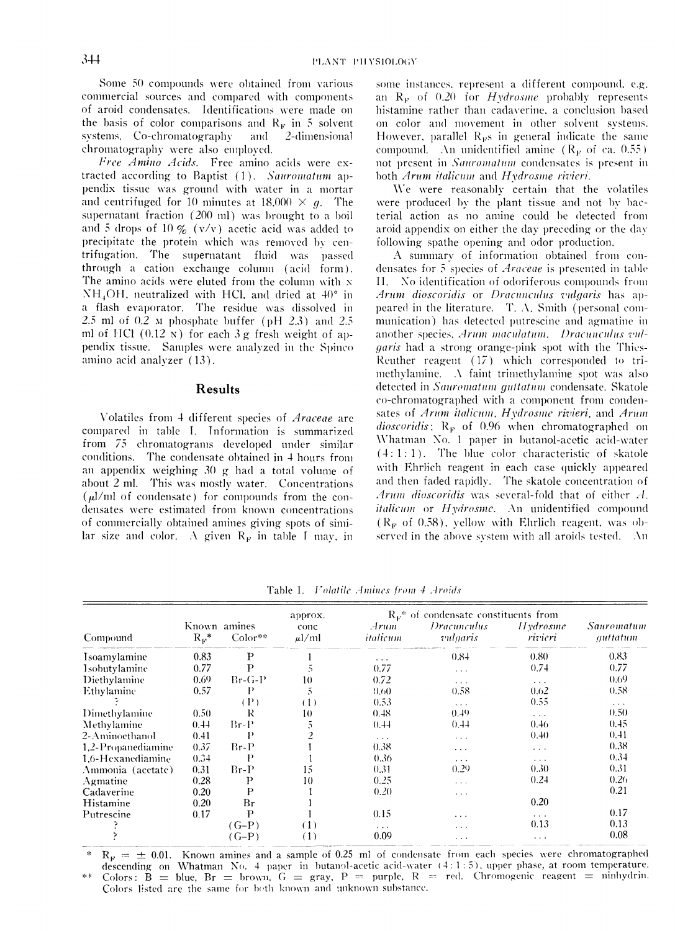Some 50 compounds were obtained from various commercial sources and compared with components of aroid condensates. Identifications were made on the basis of color comparisons and  $R_F$  in 5 solvent systems. Co-chromatography and 2-dimensional chromatography were also employed.

Free Amino Acids. Free amino acids were extracted according to Baptist (1). Sauromatum appendix tissue was ground with water in a mortar and centrifuged for 10 minutes at 18,000  $\times$  g. The supernatant fraction (200 ml) was brought to a boil and 5 drops of 10  $\%$  (v/v) acetic acid was added to precipitate the protein which was removed by centrifugation. The supernatant fluid was passed through a cation exchange column (acid form). The amino acids were eluted from the column with x  $NH<sub>4</sub>OH$ , neutralized with HCl, and dried at 40 $^{\circ}$  in a flash evaporator. The residue was dissolved in 2.5 ml of 0.2 M phosphate buffer (pH 2.3) and 2.5 ml of HCl  $(0.12 \text{ N})$  for each 3 g fresh weight of appendix tissue. Samples were analyzed in the Spinco amino acid analyzer (13).

### **Results**

Volatiles from 4 different species of Araceae are compared in table I. Information is summarized from 75 chromatograms developed under similar conditions. The condensate obtained in 4 hours from an appendix weighing 30 g had a total volume of about 2 ml. This was mostly water. Concentrations  $(\mu l/ml$  of condensate) for compounds from the condensates were estimated from known concentrations of commercially obtained amines giving spots of similar size and color. A given  $R_F$  in table I may, in

some instances, represent a different compound, e.g. an  $R_F$  of 0.20 for Hydrosme probably represents histamine rather than cadaverine, a conclusion based on color and movement in other solvent systems. However, parallel  $R_{\rm F}$ s in general indicate the same compound. An unidentified amine  $(R_F \text{ of ca. } 0.55)$ not present in Sauromatum condensates is present in both Arum italicum and Hydrosme rivieri.

We were reasonably certain that the volatiles were produced by the plant tissue and not by bacterial action as no amine could be detected from aroid appendix on either the day preceding or the day following spathe opening and odor production.

A summary of information obtained from condensates for 5 species of *Araceae* is presented in table II. No identification of odoriferous compounds from Arum dioscoridis or Dracunculus vulgaris has appeared in the literature. T. A. Smith (personal communication) has detected putrescine and agmatine in another species, Arum maculatum. Dracunculus vul*garis* had a strong orange-pink spot with the Thies-Reuther reagent (17) which corresponded to trimethylamine. A faint trimethylamine spot was also detected in Sauromatum guitatum condensate. Skatole co-chromatographed with a component from condensates of Arum italicum, Hydrosme rivieri, and Arum dioscoridis;  $R_F$  of 0.96 when chromatographed on Whatman No. 1 paper in butanol-acetic acid-water  $(4:1:1)$ . The blue color characteristic of skatole with Ehrlich reagent in each case quickly appeared and then faded rapidly. The skatole concentration of Arum dioscoridis was several-fold that of either A. italicum or Hydrosme. An unidentified compound  $(R_F$  of 0.58), yellow with Ehrlich reagent, was observed in the above system with all aroids tested. An

|                      |                             |                | approx.            | $R_{\nu}^*$ of condensate constituents from |                         |                     |                        |
|----------------------|-----------------------------|----------------|--------------------|---------------------------------------------|-------------------------|---------------------|------------------------|
| Compound             | Known amines<br>$R_{\nu}^*$ | $Color**$      | conc<br>$\mu$ l/ml | Arum.<br>italicum                           | Dracunculus<br>vulgaris | Hydrosme<br>rivieri | Sauromatum<br>guttatum |
| <b>Isoamylamine</b>  | 0.83                        | P              |                    | $\sim$ $\sim$ $\sim$                        | 0.84                    | 0.80                | 0.83                   |
| <b>Isobutylamine</b> | 0.77                        | $\mathbf{P}$   |                    | 0.77                                        | $\cdots$                | 0.74                | 0.77                   |
| Diethylamine         | 0.69                        | $Br-G-P$       | 10                 | 0.72                                        | $\cdots$                | $\cdots$            | 0.69                   |
| Ethylamine           | 0.57                        | P              | C.                 | 0.60                                        | 0.58                    | 0.62                | 0.58                   |
|                      |                             | $(\mathbf{P})$ | (1)                | 0.53                                        | $\ldots$                | 0.55                | $\sim$                 |
| Dimethylamine        | 0.50                        | R              | 10                 | 0.48                                        | 0.49                    | $\cdots$            | 0.50                   |
| Methylamine          | 0.44                        | $Br-P$         | C.                 | 0.44                                        | 0.44                    | 0.46                | 0.45                   |
| 2-Aminoethanol       | 0.41                        | Р              |                    | $\cdots$                                    | $\cdots$                | 0.40                | 0.41                   |
| 1,2-Propanediamine   | 0.37                        | $Br-P$         |                    | 0.38                                        | $\cdots$                | $\cdots$            | 0.38                   |
| 1,6-Hexanediamine    | 0.34                        | Р              |                    | 0.36                                        | $\cdots$                | $\cdots$            | 0.34                   |
| Ammonia (acetate)    | 0.31                        | $Br-P$         | $15 \,$            | 0.31                                        | 0.29                    | 0.30                | 0.31                   |
| Agmatine             | 0.28                        | Р              | 10                 | 0.25                                        | $\sim$ $\sim$ $\sim$    | 0.24                | 0.26                   |
| Cadaverine           | 0.20                        | P              |                    | 0.20                                        | $\cdots$                |                     | 0.21                   |
| Histamine            | 0.20                        | Br             |                    |                                             |                         | 0.20                |                        |
| Putrescine           | 0.17                        | P              |                    | 0.15                                        | $\cdots$                | $\cdots$            | 0.17                   |
|                      |                             | $(G-P)$        | (1)                | $\cdots$                                    | .                       | 0.13                | 0.13                   |
|                      |                             | $(G-P)$        | (1)                | 0.09                                        | .                       | .                   | 0.08                   |

Table I. Volatile Amines from 4 Aroids

 $R_F = \pm 0.01$ . Known amines and a sample of 0.25 ml of condensate from each species were chromatographed descending on Whatman No. 4 paper in butanol-acetic acid-water (4:1:5), upper phase, at room temperature. Colors: B = blue, Br = brown, G = gray, P = purple, R = red. Chromogenic reagent = ninhydrin. Colors listed are the same for both known and unknown substance.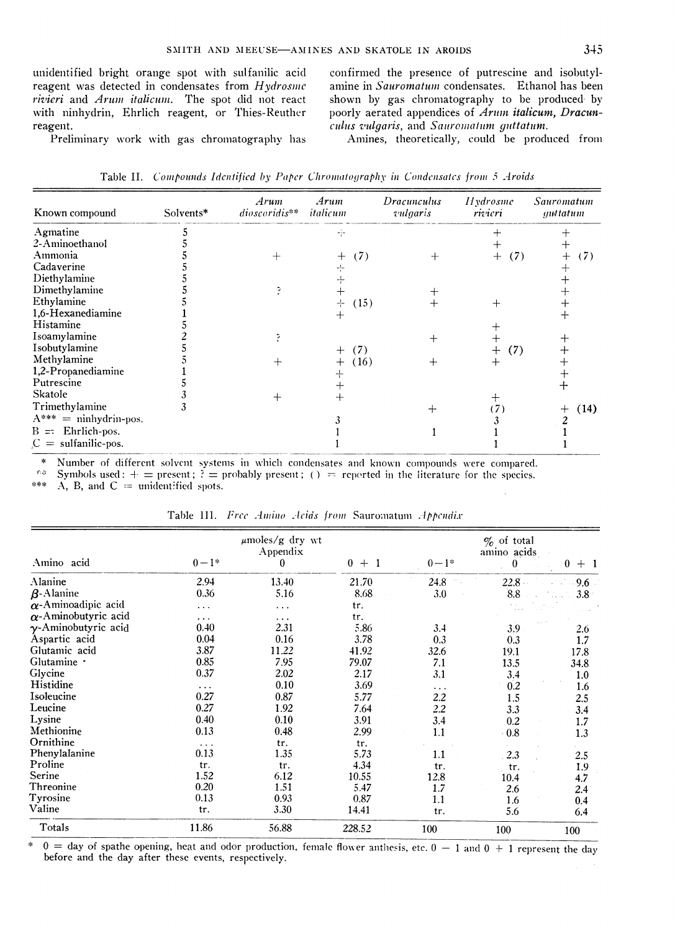unidentified bright orange spot with sulfanilic acid reagent was detected in condensates from Hydrosme rivieri and Arum italicum. The spot did not react with ninhydrin, Ehrlich reagent, or Thies-Reuther reagent.

Preliminary work with gas chromatography has

5

 $\frac{5}{1}$ 

 $\frac{5}{2}$ 

5

5

 $\mathbf{1}$ 

5

3

3

confirmed the presence of putrescine and isobutylamine in Sauromatum condensates. Ethanol has been shown by gas chromatography to be produced by poorly aerated appendices of Arum italicum, Dracunculus vulgaris, and Sauromatum guttatum.

Amines, theoretically, could be produced from

 $(7)$ 

 $(7)$ 

 $\mathfrak{Z}$ 

 $\mathbf{1}$ 

 $\mathbf{1}$ 

 $\ddot{}$ 

 $\begin{array}{c} + \\ 2 \\ 1 \end{array}$ 

 $\mathbf{1}$ 

 $(14)$ 

| Known compound | Solvents* | Arum<br>$dioscoridis**$ | Arum<br>italicum | Dracunculus<br>vulgaris | Hydrosme<br>rivieri | Sauromatum<br>guttatum |
|----------------|-----------|-------------------------|------------------|-------------------------|---------------------|------------------------|
| Agmatine       |           |                         |                  |                         |                     |                        |
| 2-Aminoethanol |           |                         |                  |                         |                     |                        |
| Ammonia        |           |                         | + (7)            |                         | $+ (7)$             |                        |
| Cadaverine     |           |                         |                  |                         |                     |                        |
| Diethylamine   |           |                         |                  |                         |                     |                        |

 $+$ 

 $^{+}$ 

 $+$ <br> $+$ 

 $^{+}$ 

 $\mathfrak{z}$ 

 $\mathbf{1}$ 

 $\mathbf{1}$ 

 $(15)$ 

 $(7)$ 

 $(16)$ 

 $\ddot{}$ 

 $\mathbf{1}$ 

Table II. Compounds Identified by Paper Chromatography in Condensates from 5 Aroids

 $\ddot{}$ Number of different solvent systems in which condensates and known compounds were compared.

 $\hat{r}$  ,  $\hat{p}$ Symbols used:  $+$  = present;  $?$  = probably present; () = reported in the literature for the species.

 $\ddot{\phantom{0}}$ 

ţ.

 $+$ 

 $\ddot{}$ 

 $\overline{A}$ ,  $\overline{B}$ , and  $\overline{C}$  = unidentified spots.  $\pm 0.4$ 

Dimethylamine

Isoamylamine

Isobutylamine

Methylamine

Trimethylamine

 $B =$ : Ehrlich-pos.

 $C =$  sulfanilic-pos.

Putrescine

Skatole

1,6-Hexanediamine Histamine

1,2-Propanediamine

 $A***$  = ninhydrin-pos.

Ethylamine

|                             |          | $\mu$ moles/g dry wt<br>Appendix | $\%$ of total<br>amino acids |                      |      |                  |
|-----------------------------|----------|----------------------------------|------------------------------|----------------------|------|------------------|
| Amino acid                  | $0 - 1*$ | 0                                | $0 +$                        | $0 - 1*$             | 0    | 0<br>$+1$        |
| Alanine                     | 2.94     | 13.40                            | 21.70                        | 24.8                 | 22.8 | 9.6              |
| $\beta$ -Alanine            | 0.36     | 5.16                             | 8.68                         | 3.0                  | 8.8  | 3.8 <sup>0</sup> |
| $\alpha$ -Aminoadipic acid  | $\cdots$ | $\cdots$                         | tr.                          |                      |      |                  |
| $\alpha$ -Aminobutyric acid | $\cdots$ | $\cdots$                         | tr.                          |                      |      |                  |
| $\gamma$ -Aminobutyric acid | 0.40     | 2.31                             | 5.86                         | 3.4                  | 3.9  | 2.6              |
| Aspartic acid               | 0.04     | 0.16                             | 3.78                         | 0.3                  | 0.3  | 1.7              |
| Glutamic acid               | 3.87     | 11.22                            | 41.92                        | 32.6                 | 19.1 | 17.8             |
| Glutamine ·                 | 0.85     | 7.95                             | 79.07                        | 7.1                  | 13.5 | 34.8             |
| Glycine                     | 0.37     | 2.02                             | 2.17                         | 3.1                  | 3.4  | 1.0              |
| Histidine                   | $\cdots$ | 0.10                             | 3.69                         | $\sim$ $\sim$ $\sim$ | 0.2  | 1.6              |
| Isoleucine                  | 0.27     | 0.87                             | 5.77                         | 2.2                  | 1.5  | 2.5              |
| Leucine                     | 0.27     | 1.92                             | 7.64                         | 2.2                  | 3.3  | 3.4              |
| Lysine                      | 0.40     | 0.10                             | 3.91                         | 3.4                  | 0.2  | 1.7              |
| Methionine                  | 0.13     | 0.48                             | 2.99                         | 1.1                  | 0.8  | 1.3              |
| Ornithine                   | $\cdots$ | tr.                              | tr.                          |                      |      |                  |
| Phenylalanine               | 0.13     | 1.35                             | 5.73                         | 1.1                  | 2.3  | 2.5              |
| Proline                     | tr.      | tr.                              | 4.34                         | tr.                  | tr.  | 1.9              |
| Serine                      | 1.52     | 6.12                             | 10.55                        | 12.8                 | 10.4 | 4.7              |
| Threonine                   | 0.20     | 1.51                             | 5.47                         | 1.7                  | 2.6  | 2.4              |
| Tyrosine                    | 0.13     | 0.93                             | 0.87                         | 1.1                  | 1.6  | 0.4              |
| Valine                      | tr.      | 3.30                             | 14.41                        | tr.                  | 5.6  | 6.4              |
| Totals                      | 11.86    | 56.88                            | 228.52                       | 100                  | 100  | 100              |

Table III. Free Amino Acids from Sauromatum Appendix

 $0 =$  day of spathe opening, heat and odor production, female flower anthesis, etc.  $0 - 1$  and  $0 + 1$  represent the day  $\ast$ before and the day after these events, respectively.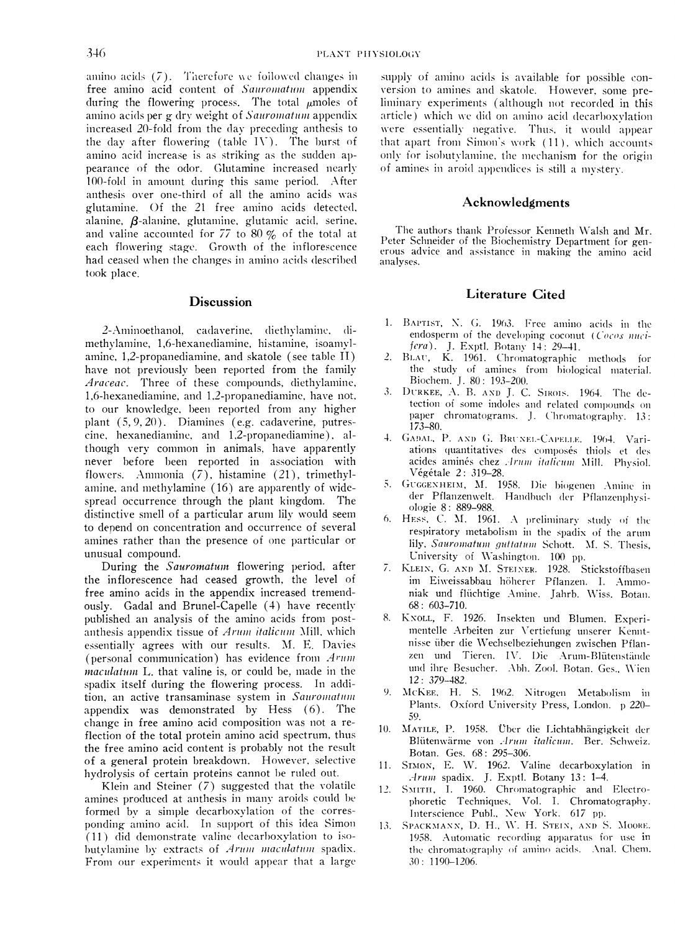amino acids  $(7)$ . Therefore we foilowed changes in free amino acid content of Sauromatum appendix during the flowering process. The total  $\mu$ moles of amino acids per g dry weight of Sauromatum appendix increased 20-fold from the day preceding anthesis to the day after flowering (table IV). The burst of amino acid increase is as striking as the sudden appearance of the odor. Glutamine increased nearly 100-fold in amount during this same period. After anthesis over one-third of all the amino acids was glutamine. Of the 21 free amino acids detected, alanine,  $\beta$ -alanine, glutamine, glutamic acid. serine, and valine accounted for 77 to 80  $\%$  of the total at each flowering stage. Growth of the inflorescence had ceased when the changes in amino acids described took place.

## **Discussion**

2-Aminoethanol, cadaverine, diethylamine, dimethylamine, 1,6-hexanediamine, histamine, isoamvlamine, 1,2-propanediamine, and skatole (see table II) have not previously been reported from the family Araceae. Three of these compounds, diethylamine, 1,6-hexanediamine, and 1,2-propanediamine, have not, to our knowledge, been reported from any higher plant  $(5, 9, 20)$ . Diamines (e.g. cadaverine, putrescine, hexanediamine, and 1,2-propanediamine), although very common in animals, have apparently never before been reported in association with flowers. Ammonia  $(7)$ , histamine  $(21)$ , trimethylamine, and methylamine (16) are apparently of widespread occurrence through the plant kingdom. The distinctive smell of a particular arum lily would seem to depend on concenitration and occurrence of several amines rather than the presence of one particular or unusual compound.

During the Sauromatum flowering period, after the inflorescence had ceased growth, the level of free amino acids in the appendix increased tremendously. Gadal and Brunel-Capelle (4) have recently published an analysis of the amino acids from postanthesis appendix tissue of  $A$ rum italicum Mill, which essentially agrees with our results. M. E. Davies (personal communication) has evidence from  $A$  rum  $maculation$  L. that valine is, or could be, made in the spadix itself during the flowering process. In addition, an active transaminase system in Sauromatum appendix was demnonstrated by Hess (6). The change in free amino acid composition was not a reflection of the total protein amino acid spectrum, thus the free amino acid content is probably not the result of a general protein breakdown. However, selective hydrolysis of certain proteins cannot be ruled out.

Klein and Steiner  $(7)$  suggested that the volatile amines produced at anthesis in many aroids could be formed by a simple decarboxylation of the corresponding amino acid. In support of this idea Simon  $(11)$  did demonstrate valine decarboxylation to isobutylamine by extracts of Arum maculatum spadix. From our experiments it would appear that a large supply of amino acids is available for possible conversion to amines and skatole. However, some preliminary experiments (although not recorded in this article) which we did on amino acid decarboxylation were essentially negative. Thus, it would appear that apart from Simon's work  $(11)$ , which accounts only for isobutvlamine, the mechanism for the origin of amines in aroid appendices is still a mystery.

#### Acknowledgments

The authors thank Professor Kenneth Walsh and Mr. Peter Schneider of the Biochemistry Department for generous advice and assistance in making the amino acid analyses.

#### Literature Cited

- 1. BAPTIST, N. G. 1963. Free amino acids in the endosperm of the developing coconut (Cocos nucifera). J. Exptl. Botany 14: 29-41.
- 2. BLAU, K. 1961. Chromatographic methods for the study of amines from biological miaterial. Biochem. J. 80: 193-200.
- 3. IDURKEE, A. B. AND J. C. SIROIS. 1964. The detection of some indoles and related compounds on paper chromatograms. J. Chromatography. 13: 173-80.
- 4. GADAL, P. AND G. BRUNEL-CAPELLE. 1964. Variations quantitatives des composés thiols et des acides aminés chez *Arum italicum* Mill. Physiol. Vegetale 2: 319-28.
- 5. GUGGENHEIM, M. 1958. Die biogenen Amine in der Pflanzenwelt. Handbuch der Pflanzenphysiologie 8: 889-988.
- 6. HESS, C. M.  $1961.$  A preliminary study of the respiratory metabolism in the spadix of the arum lily, Sauromatum guttatum Schott. M. S. Thesis, University of Washington. 100 pp.
- 7. KLEIN, G. AND M. STEINER. 1928. Stickstoffbasen im Eiweissabbau höherer Pflanzen. I. Ammoniak und flüchtige Amine. Jahrb. Wiss. Botan. 68: 603-710.
- 8. KNOLL, F. 1926. Insekten und Blumen. Experimentelle Arbeiten zur Vertiefung unserer Kenntnisse über die Wechselbeziehungen zwischen Pflanzen und Tieren. IV. Die Arum-Blütenstände und ihre Besucher. .Abh. Zool. Botan. Ges., Wien 12: 379-482.
- McKEE, H. S. 1962. Nitrogen Metabolism in Plants. Oxford University Press, London. p 220-50,.
- 10. MATILE, P. 1958. Über die Lichtabhängigkeit der Blütenwärme von .Arum italicum. Ber. Schweiz. Botan. Ges. 68: 295-306.
- 11. SIMON, E. W. 1962. Valine decarboxylation in Arum spadix. J. Exptl. Botany 13: 1-4.
- 12. SMITH, I. 1960. Chromatographic and Electrophoretic Techniques, Vol. 1. Chromatography.<br>Interscience Publ., New York. 617 pp.
- 13. Spackmann, D. H., W. H. Stein, and S. Moore. 1958. Automatic recording apparatus for use in the chromatography of amino acids. Anal. Chem. 30: 1190-1206.